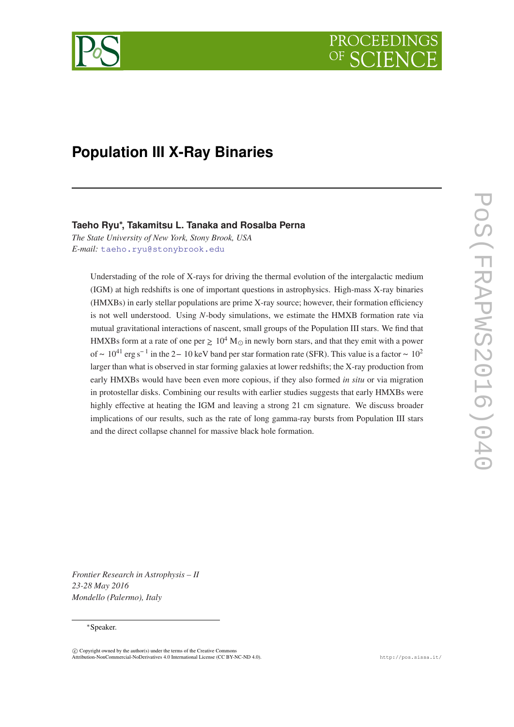<span id="page-0-0"></span>

# **Population III X-Ray Binaries**

# **Taeho Ryu∗, Takamitsu L. Tanaka and Rosalba Perna**

*The State University of New York, Stony Brook, USA E-mail:* [taeho.ryu@stonybrook.edu](mailto:taeho.ryu@stonybrook.edu)

Understading of the role of X-rays for driving the thermal evolution of the intergalactic medium (IGM) at high redshifts is one of important questions in astrophysics. High-mass X-ray binaries (HMXBs) in early stellar populations are prime X-ray source; however, their formation efficiency is not well understood. Using *N*-body simulations, we estimate the HMXB formation rate via mutual gravitational interactions of nascent, small groups of the Population III stars. We find that HMXBs form at a rate of one per  $\geq 10^4$  M $\odot$  in newly born stars, and that they emit with a power of ~ 10<sup>41</sup> erg s<sup>-1</sup> in the 2− 10 keV band per star formation rate (SFR). This value is a factor ~ 10<sup>2</sup> larger than what is observed in star forming galaxies at lower redshifts; the X-ray production from early HMXBs would have been even more copious, if they also formed *in situ* or via migration in protostellar disks. Combining our results with earlier studies suggests that early HMXBs were highly effective at heating the IGM and leaving a strong 21 cm signature. We discuss broader implications of our results, such as the rate of long gamma-ray bursts from Population III stars and the direct collapse channel for massive black hole formation.

*Frontier Research in Astrophysis – II 23-28 May 2016 Mondello (Palermo), Italy*

## <sup>∗</sup>Speaker.

 $\overline{c}$  Copyright owned by the author(s) under the terms of the Creative Common Attribution-NonCommercial-NoDerivatives 4.0 International License (CC BY-NC-ND 4.0). http://pos.sissa.it/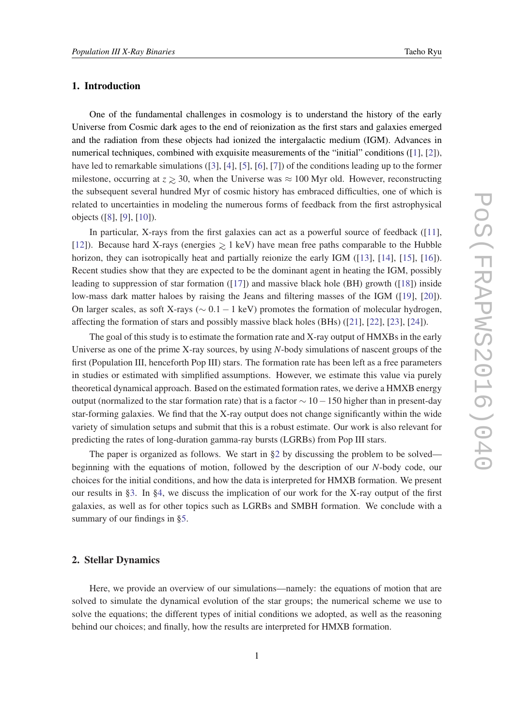# <span id="page-1-0"></span>1. Introduction

One of the fundamental challenges in cosmology is to understand the history of the early Universe from Cosmic dark ages to the end of reionization as the first stars and galaxies emerged and the radiation from these objects had ionized the intergalactic medium (IGM). Advances in numerical techniques, combined with exquisite measurements of the "initial" conditions ([\[1\]](#page-0-0), [\[2\]](#page-0-0)), have led to remarkable simulations ([[3](#page-0-0)], [[4](#page-0-0)], [[5](#page-0-0)], [[6](#page-0-0)], [[7](#page-0-0)]) of the conditions leading up to the former milestone, occurring at  $z \ge 30$ , when the Universe was  $\approx 100$  Myr old. However, reconstructing the subsequent several hundred Myr of cosmic history has embraced difficulties, one of which is related to uncertainties in modeling the numerous forms of feedback from the first astrophysical objects ([\[8\]](#page-0-0), [\[9\]](#page-0-0), [[10](#page-0-0)]).

In particular, X-rays from the first galaxies can act as a powerful source of feedback ([[11\]](#page-0-0), [[12\]](#page-0-0)). Because hard X-rays (energies ∼> 1 keV) have mean free paths comparable to the Hubble horizon, they can isotropically heat and partially reionize the early IGM ([[13\]](#page-0-0), [[14](#page-0-0)], [\[15](#page-0-0)], [\[16\]](#page-0-0)). Recent studies show that they are expected to be the dominant agent in heating the IGM, possibly leading to suppression of star formation ([\[17](#page-0-0)]) and massive black hole (BH) growth ([\[18](#page-0-0)]) inside low-mass dark matter haloes by raising the Jeans and filtering masses of the IGM ([[19\]](#page-0-0), [\[20\]](#page-0-0)). On larger scales, as soft X-rays ( $\sim$  0.1 – 1 keV) promotes the formation of molecular hydrogen, affecting the formation of stars and possibly massive black holes (BHs) ([[21\]](#page-0-0), [\[22](#page-0-0)], [[23\]](#page-0-0), [[24](#page-0-0)]).

The goal of this study is to estimate the formation rate and X-ray output of HMXBs in the early Universe as one of the prime X-ray sources, by using *N*-body simulations of nascent groups of the first (Population III, henceforth Pop III) stars. The formation rate has been left as a free parameters in studies or estimated with simplified assumptions. However, we estimate this value via purely theoretical dynamical approach. Based on the estimated formation rates, we derive a HMXB energy output (normalized to the star formation rate) that is a factor  $\sim 10-150$  higher than in present-day star-forming galaxies. We find that the X-ray output does not change significantly within the wide variety of simulation setups and submit that this is a robust estimate. Our work is also relevant for predicting the rates of long-duration gamma-ray bursts (LGRBs) from Pop III stars.

The paper is organized as follows. We start in §2 by discussing the problem to be solved beginning with the equations of motion, followed by the description of our *N*-body code, our choices for the initial conditions, and how the data is interpreted for HMXB formation. We present our results in §[3](#page-4-0). In §[4](#page-9-0), we discuss the implication of our work for the X-ray output of the first galaxies, as well as for other topics such as LGRBs and SMBH formation. We conclude with a summary of our findings in [§5.](#page-14-0)

## 2. Stellar Dynamics

Here, we provide an overview of our simulations—namely: the equations of motion that are solved to simulate the dynamical evolution of the star groups; the numerical scheme we use to solve the equations; the different types of initial conditions we adopted, as well as the reasoning behind our choices; and finally, how the results are interpreted for HMXB formation.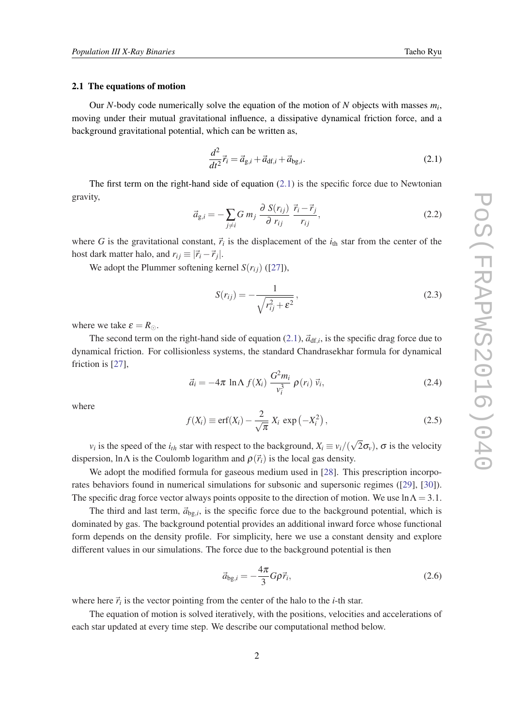#### <span id="page-2-0"></span>2.1 The equations of motion

Our *N*-body code numerically solve the equation of the motion of *N* objects with masses *m<sup>i</sup>* , moving under their mutual gravitational influence, a dissipative dynamical friction force, and a background gravitational potential, which can be written as,

$$
\frac{d^2}{dt^2}\vec{r}_i = \vec{a}_{g,i} + \vec{a}_{df,i} + \vec{a}_{bg,i}.
$$
\n(2.1)

The first term on the right-hand side of equation  $(2.1)$  is the specific force due to Newtonian gravity,

$$
\vec{a}_{g,i} = -\sum_{j \neq i} G m_j \frac{\partial S(r_{ij})}{\partial r_{ij}} \frac{\vec{r}_i - \vec{r}_j}{r_{ij}},\tag{2.2}
$$

where *G* is the gravitational constant,  $\vec{r}_i$  is the displacement of the  $i_{th}$  star from the center of the host dark matter halo, and  $r_{ij} \equiv |\vec{r}_i - \vec{r}_j|$ .

We adopt the Plummer softening kernel  $S(r_i)$  ([\[27](#page-0-0)]),

$$
S(r_{ij}) = -\frac{1}{\sqrt{r_{ij}^2 + \varepsilon^2}},
$$
\n(2.3)

where we take  $\varepsilon = R_{\odot}$ .

The second term on the right-hand side of equation  $(2.1)$ ,  $\vec{a}_{df,i}$ , is the specific drag force due to dynamical friction. For collisionless systems, the standard Chandrasekhar formula for dynamical friction is [[27\]](#page-0-0),

$$
\vec{a}_i = -4\pi \ln \Lambda \ f(X_i) \ \frac{G^2 m_i}{v_i^3} \ \rho(r_i) \ \vec{v}_i,\tag{2.4}
$$

where

$$
f(X_i) \equiv \text{erf}(X_i) - \frac{2}{\sqrt{\pi}} X_i \, \exp\left(-X_i^2\right),\tag{2.5}
$$

*v*<sub>*i*</sub> is the speed of the *i*<sub>th</sub> star with respect to the background,  $X_i \equiv v_i/($ √  $(2\sigma_v)$ ,  $\sigma$  is the velocity dispersion, lnΛ is the Coulomb logarithm and  $\rho(\vec{r}_i)$  is the local gas density.

We adopt the modified formula for gaseous medium used in [\[28](#page-0-0)]. This prescription incorporates behaviors found in numerical simulations for subsonic and supersonic regimes ([[29](#page-0-0)], [\[30\]](#page-0-0)). The specific drag force vector always points opposite to the direction of motion. We use  $\ln \Lambda = 3.1$ .

The third and last term,  $\vec{a}_{bg,i}$ , is the specific force due to the background potential, which is dominated by gas. The background potential provides an additional inward force whose functional form depends on the density profile. For simplicity, here we use a constant density and explore different values in our simulations. The force due to the background potential is then

$$
\vec{a}_{\text{bg},i} = -\frac{4\pi}{3} G\rho \vec{r}_i,\tag{2.6}
$$

where here  $\vec{r}_i$  is the vector pointing from the center of the halo to the *i*-th star.

The equation of motion is solved iteratively, with the positions, velocities and accelerations of each star updated at every time step. We describe our computational method below.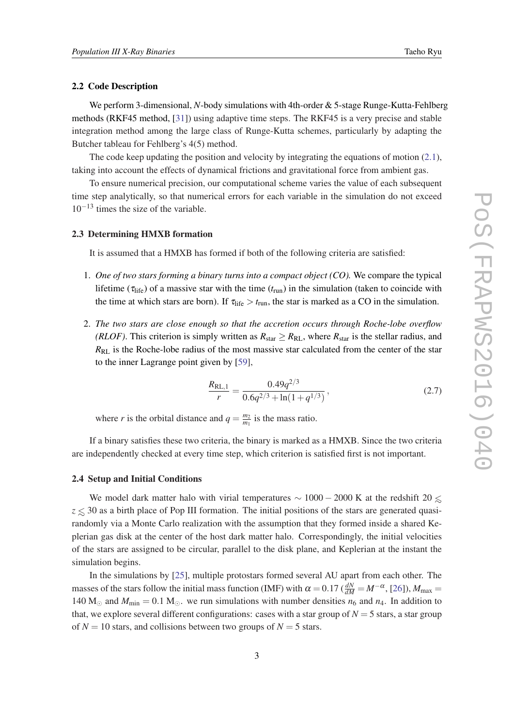## 2.2 Code Description

We perform 3-dimensional, *N*-body simulations with 4th-order & 5-stage Runge-Kutta-Fehlberg methods (RKF45 method, [\[31](#page-0-0)]) using adaptive time steps. The RKF45 is a very precise and stable integration method among the large class of Runge-Kutta schemes, particularly by adapting the Butcher tableau for Fehlberg's 4(5) method.

The code keep updating the position and velocity by integrating the equations of motion  $(2.1)$  $(2.1)$ , taking into account the effects of dynamical frictions and gravitational force from ambient gas.

To ensure numerical precision, our computational scheme varies the value of each subsequent time step analytically, so that numerical errors for each variable in the simulation do not exceed  $10^{-13}$  times the size of the variable.

## 2.3 Determining HMXB formation

It is assumed that a HMXB has formed if both of the following criteria are satisfied:

- 1. *One of two stars forming a binary turns into a compact object (CO).* We compare the typical lifetime ( $\tau_{\text{life}}$ ) of a massive star with the time ( $t_{\text{run}}$ ) in the simulation (taken to coincide with the time at which stars are born). If  $\tau_{\text{life}} > t_{\text{run}}$ , the star is marked as a CO in the simulation.
- 2. *The two stars are close enough so that the accretion occurs through Roche-lobe overflow (RLOF)*. This criterion is simply written as  $R_{star} \geq R_{RL}$ , where  $R_{star}$  is the stellar radius, and *R*RL is the Roche-lobe radius of the most massive star calculated from the center of the star to the inner Lagrange point given by [[59\]](#page-0-0),

$$
\frac{R_{\text{RL},1}}{r} = \frac{0.49q^{2/3}}{0.6q^{2/3} + \ln(1+q^{1/3})},\tag{2.7}
$$

where *r* is the orbital distance and  $q = \frac{m_2}{m_1}$  $\frac{m_2}{m_1}$  is the mass ratio.

If a binary satisfies these two criteria, the binary is marked as a HMXB. Since the two criteria are independently checked at every time step, which criterion is satisfied first is not important.

## 2.4 Setup and Initial Conditions

We model dark matter halo with virial temperatures  $\sim 1000 - 2000$  K at the redshift 20  $\leq$ *z* ≤ 30 as a birth place of Pop III formation. The initial positions of the stars are generated quasirandomly via a Monte Carlo realization with the assumption that they formed inside a shared Keplerian gas disk at the center of the host dark matter halo. Correspondingly, the initial velocities of the stars are assigned to be circular, parallel to the disk plane, and Keplerian at the instant the simulation begins.

In the simulations by [[25\]](#page-0-0), multiple protostars formed several AU apart from each other. The masses of the stars follow the initial mass function (IMF) with  $\alpha = 0.17$  ( $\frac{dN}{dM} = M^{-\alpha}$ , [\[26](#page-0-0)]),  $M_{\text{max}} =$ 140 M<sub> $\odot$ </sub> and  $M_{\text{min}} = 0.1$  M<sub> $\odot$ </sub>. we run simulations with number densities  $n_6$  and  $n_4$ . In addition to that, we explore several different configurations: cases with a star group of  $N = 5$  stars, a star group of  $N = 10$  stars, and collisions between two groups of  $N = 5$  stars.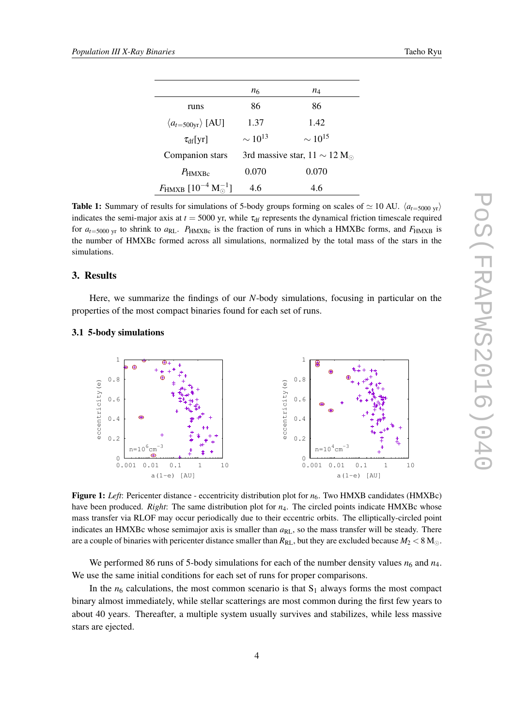| Taeho Rvu |  |
|-----------|--|
|-----------|--|

<span id="page-4-0"></span>

|                                                       | <i>n</i> 6     | $n_4$                            |
|-------------------------------------------------------|----------------|----------------------------------|
| runs                                                  | 86             | 86                               |
| $\langle a_{t=500\text{yr}}\rangle$ [AU]              | 1.37           | 1.42                             |
| $\tau_{\rm df}[{\rm yr}]$                             | $\sim 10^{13}$ | $\sim 10^{15}$                   |
| Companion stars                                       |                | 3rd massive star, $11 \sim 12$ M |
| $P_{\rm HMXBc}$                                       | 0.070          | 0.070                            |
| $F_{\text{HMXB}}$ [10 <sup>-4</sup> M <sup>-1</sup> ] | 4.6            | 4.6                              |

**Table 1:** Summary of results for simulations of 5-body groups forming on scales of  $\simeq 10$  AU.  $\langle a_{t=5000 \text{ yr}} \rangle$ indicates the semi-major axis at  $t = 5000$  yr, while  $\tau_{df}$  represents the dynamical friction timescale required for  $a_{t=5000 \text{ yr}}$  to shrink to  $a_{RL}$ .  $P_{HMXBc}$  is the fraction of runs in which a HMXBc forms, and  $F_{HMXB}$  is the number of HMXBc formed across all simulations, normalized by the total mass of the stars in the simulations.

#### 3. Results

Here, we summarize the findings of our *N*-body simulations, focusing in particular on the properties of the most compact binaries found for each set of runs.

#### 3.1 5-body simulations



Figure 1: Left: Pericenter distance - eccentricity distribution plot for  $n_6$ . Two HMXB candidates (HMXBc) have been produced. *Right*: The same distribution plot for  $n_4$ . The circled points indicate HMXBc whose mass transfer via RLOF may occur periodically due to their eccentric orbits. The elliptically-circled point indicates an HMXBc whose semimajor axis is smaller than  $a_{RL}$ , so the mass transfer will be steady. There are a couple of binaries with pericenter distance smaller than  $R_{RL}$ , but they are excluded because  $M_2 < 8$  M<sub> $\odot$ </sub>.

We performed 86 runs of 5-body simulations for each of the number density values  $n_6$  and  $n_4$ . We use the same initial conditions for each set of runs for proper comparisons.

In the  $n_6$  calculations, the most common scenario is that  $S_1$  always forms the most compact binary almost immediately, while stellar scatterings are most common during the first few years to about 40 years. Thereafter, a multiple system usually survives and stabilizes, while less massive stars are ejected.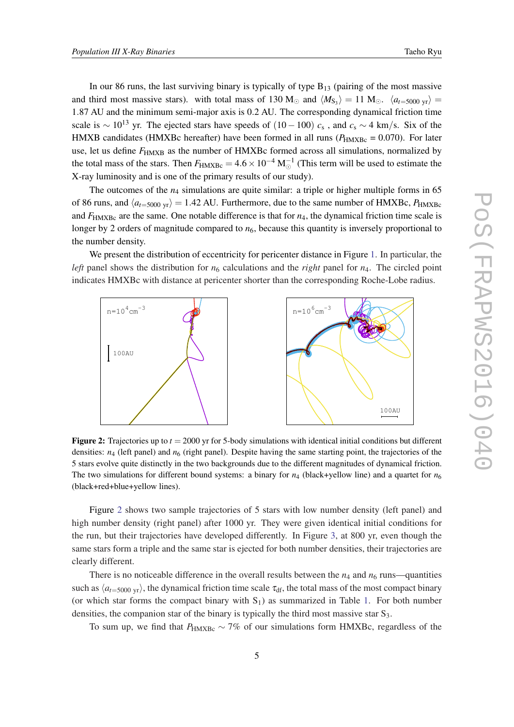<span id="page-5-0"></span>In our 86 runs, the last surviving binary is typically of type  $B_{13}$  (pairing of the most massive and third most massive stars). with total mass of 130 M<sub> $\odot$ </sub> and  $\langle M_{\rm S_3}\rangle = 11$  M $_{\odot}$ .  $\langle a_{t=5000 \text{ yr}}\rangle =$ 1.87 AU and the minimum semi-major axis is 0.2 AU. The corresponding dynamical friction time scale is  $\sim 10^{13}$  yr. The ejected stars have speeds of  $(10-100)$   $c_s$ , and  $c_s \sim 4$  km/s. Six of the HMXB candidates (HMXBc hereafter) have been formed in all runs ( $P_{HMXBc} = 0.070$ ). For later use, let us define  $F_{\text{HMXB}}$  as the number of HMXBc formed across all simulations, normalized by the total mass of the stars. Then  $F_{\text{HMXBc}} = 4.6 \times 10^{-4} \text{ M}_{\odot}^{-1}$  (This term will be used to estimate the X-ray luminosity and is one of the primary results of our study).

The outcomes of the  $n_4$  simulations are quite similar: a triple or higher multiple forms in 65 of 86 runs, and  $\langle a_{t=5000 \text{ yr}} \rangle$  = 1.42 AU. Furthermore, due to the same number of HMXBc, *P*<sub>HMXBc</sub> and  $F_{\text{HMXBc}}$  are the same. One notable difference is that for  $n_4$ , the dynamical friction time scale is longer by 2 orders of magnitude compared to  $n<sub>6</sub>$ , because this quantity is inversely proportional to the number density.

We present the distribution of eccentricity for pericenter distance in Figure [1](#page-4-0). In particular, the *left* panel shows the distribution for  $n_6$  calculations and the *right* panel for  $n_4$ . The circled point indicates HMXBc with distance at pericenter shorter than the corresponding Roche-Lobe radius.



Figure 2: Trajectories up to  $t = 2000$  yr for 5-body simulations with identical initial conditions but different densities:  $n_4$  (left panel) and  $n_6$  (right panel). Despite having the same starting point, the trajectories of the 5 stars evolve quite distinctly in the two backgrounds due to the different magnitudes of dynamical friction. The two simulations for different bound systems: a binary for  $n_4$  (black+yellow line) and a quartet for  $n_6$ (black+red+blue+yellow lines).

Figure 2 shows two sample trajectories of 5 stars with low number density (left panel) and high number density (right panel) after 1000 yr. They were given identical initial conditions for the run, but their trajectories have developed differently. In Figure [3,](#page-6-0) at 800 yr, even though the same stars form a triple and the same star is ejected for both number densities, their trajectories are clearly different.

There is no noticeable difference in the overall results between the  $n_4$  and  $n_6$  runs—quantities such as  $\langle a_{t=5000 \text{ yr}} \rangle$ , the dynamical friction time scale  $\tau_{df}$ , the total mass of the most compact binary (or which star forms the compact binary with  $S_1$ ) as summarized in Table [1.](#page-4-0) For both number densities, the companion star of the binary is typically the third most massive star S<sub>3</sub>.

To sum up, we find that *P*<sub>HMXBc</sub> ~ 7% of our simulations form HMXBc, regardless of the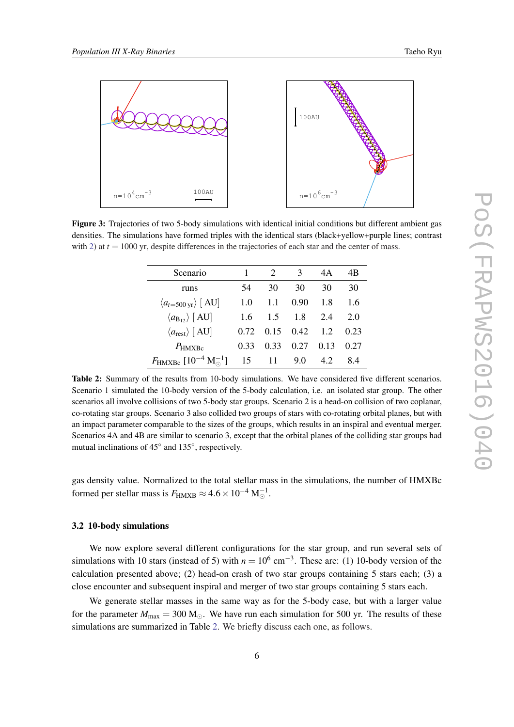<span id="page-6-0"></span>

Figure 3: Trajectories of two 5-body simulations with identical initial conditions but different ambient gas densities. The simulations have formed triples with the identical stars (black+yellow+purple lines; contrast with [2\)](#page-5-0) at  $t = 1000$  yr, despite differences in the trajectories of each star and the center of mass.

| Scenario                                               |      | $\mathcal{D}_{\mathcal{L}}$ | 3    | 4A   | 4B   |
|--------------------------------------------------------|------|-----------------------------|------|------|------|
| runs                                                   | 54   | 30                          | 30   | 30   | 30   |
| $\langle a_{t=500 \text{ yr}} \rangle$ [ AU]           | 1.0  | 1.1                         | 0.90 | 1.8  | 1.6  |
| $\langle a_{\rm B_1} \rangle$ [AU]                     | 1.6  | 1.5                         | 1.8  | 2.4  | 2.0  |
| $\langle a_{\text{rest}} \rangle$ [ AU]                | 0.72 | 0.15                        | 0.42 | 1.2  | 0.23 |
| $P_{HMXBc}$                                            | 0.33 | 0.33                        | 0.27 | 0.13 | 0.27 |
| $F_{\text{HMXBe}}$ [10 <sup>-4</sup> M <sup>-1</sup> ] | 15   | 11                          | 9.0  | 4.2  | 84   |

Table 2: Summary of the results from 10-body simulations. We have considered five different scenarios. Scenario 1 simulated the 10-body version of the 5-body calculation, i.e. an isolated star group. The other scenarios all involve collisions of two 5-body star groups. Scenario 2 is a head-on collision of two coplanar, co-rotating star groups. Scenario 3 also collided two groups of stars with co-rotating orbital planes, but with an impact parameter comparable to the sizes of the groups, which results in an inspiral and eventual merger. Scenarios 4A and 4B are similar to scenario 3, except that the orbital planes of the colliding star groups had mutual inclinations of 45<sup>°</sup> and 135<sup>°</sup>, respectively.

gas density value. Normalized to the total stellar mass in the simulations, the number of HMXBc formed per stellar mass is  $F_{\text{HMXB}} \approx 4.6 \times 10^{-4} \text{ M}_{\odot}^{-1}$ .

# 3.2 10-body simulations

We now explore several different configurations for the star group, and run several sets of simulations with 10 stars (instead of 5) with  $n = 10^6$  cm<sup>-3</sup>. These are: (1) 10-body version of the calculation presented above; (2) head-on crash of two star groups containing 5 stars each; (3) a close encounter and subsequent inspiral and merger of two star groups containing 5 stars each.

We generate stellar masses in the same way as for the 5-body case, but with a larger value for the parameter  $M_{\text{max}} = 300 \text{ M}$ . We have run each simulation for 500 yr. The results of these simulations are summarized in Table 2. We briefly discuss each one, as follows.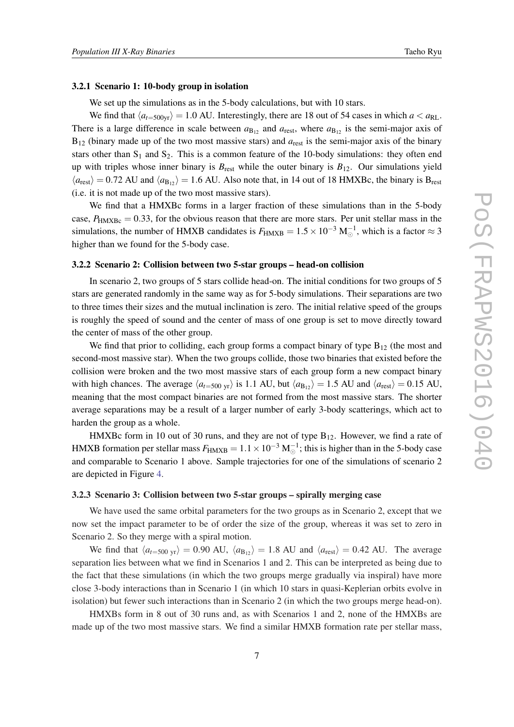#### 3.2.1 Scenario 1: 10-body group in isolation

We set up the simulations as in the 5-body calculations, but with 10 stars.

We find that  $\langle a_{t=500\text{yr}} \rangle = 1.0$  AU. Interestingly, there are 18 out of 54 cases in which  $a < a_{RL}$ . There is a large difference in scale between  $a_{B_{12}}$  and  $a_{rest}$ , where  $a_{B_{12}}$  is the semi-major axis of  $B_{12}$  (binary made up of the two most massive stars) and  $a_{\text{rest}}$  is the semi-major axis of the binary stars other than  $S_1$  and  $S_2$ . This is a common feature of the 10-body simulations: they often end up with triples whose inner binary is  $B_{\text{rest}}$  while the outer binary is  $B_{12}$ . Our simulations yield  $\langle a_{\text{rest}} \rangle$  = 0.72 AU and  $\langle a_{B_{12}} \rangle$  = 1.6 AU. Also note that, in 14 out of 18 HMXBc, the binary is B<sub>rest</sub> (i.e. it is not made up of the two most massive stars).

We find that a HMXBc forms in a larger fraction of these simulations than in the 5-body case,  $P_{HMXBc} = 0.33$ , for the obvious reason that there are more stars. Per unit stellar mass in the simulations, the number of HMXB candidates is  $F_{\text{HMXB}} = 1.5 \times 10^{-3} \text{ M}_{\odot}^{-1}$ , which is a factor  $\approx 3$ higher than we found for the 5-body case.

# 3.2.2 Scenario 2: Collision between two 5-star groups – head-on collision

In scenario 2, two groups of 5 stars collide head-on. The initial conditions for two groups of 5 stars are generated randomly in the same way as for 5-body simulations. Their separations are two to three times their sizes and the mutual inclination is zero. The initial relative speed of the groups is roughly the speed of sound and the center of mass of one group is set to move directly toward the center of mass of the other group.

We find that prior to colliding, each group forms a compact binary of type  $B_{12}$  (the most and second-most massive star). When the two groups collide, those two binaries that existed before the collision were broken and the two most massive stars of each group form a new compact binary with high chances. The average  $\langle a_{t=500 \text{ yr}} \rangle$  is 1.1 AU, but  $\langle a_{\text{B}_{12}} \rangle = 1.5$  AU and  $\langle a_{\text{rest}} \rangle = 0.15$  AU, meaning that the most compact binaries are not formed from the most massive stars. The shorter average separations may be a result of a larger number of early 3-body scatterings, which act to harden the group as a whole.

HMXBc form in 10 out of 30 runs, and they are not of type  $B_{12}$ . However, we find a rate of HMXB formation per stellar mass  $F_{\text{HMXB}} = 1.1 \times 10^{-3} \text{ M}_{\odot}^{-1}$ ; this is higher than in the 5-body case and comparable to Scenario 1 above. Sample trajectories for one of the simulations of scenario 2 are depicted in Figure [4.](#page-8-0)

## 3.2.3 Scenario 3: Collision between two 5-star groups – spirally merging case

We have used the same orbital parameters for the two groups as in Scenario 2, except that we now set the impact parameter to be of order the size of the group, whereas it was set to zero in Scenario 2. So they merge with a spiral motion.

We find that  $\langle a_{t=500 \text{ yr}} \rangle = 0.90 \text{ AU}$ ,  $\langle a_{B_{12}} \rangle = 1.8 \text{ AU}$  and  $\langle a_{\text{rest}} \rangle = 0.42 \text{ AU}$ . The average separation lies between what we find in Scenarios 1 and 2. This can be interpreted as being due to the fact that these simulations (in which the two groups merge gradually via inspiral) have more close 3-body interactions than in Scenario 1 (in which 10 stars in quasi-Keplerian orbits evolve in isolation) but fewer such interactions than in Scenario 2 (in which the two groups merge head-on).

HMXBs form in 8 out of 30 runs and, as with Scenarios 1 and 2, none of the HMXBs are made up of the two most massive stars. We find a similar HMXB formation rate per stellar mass,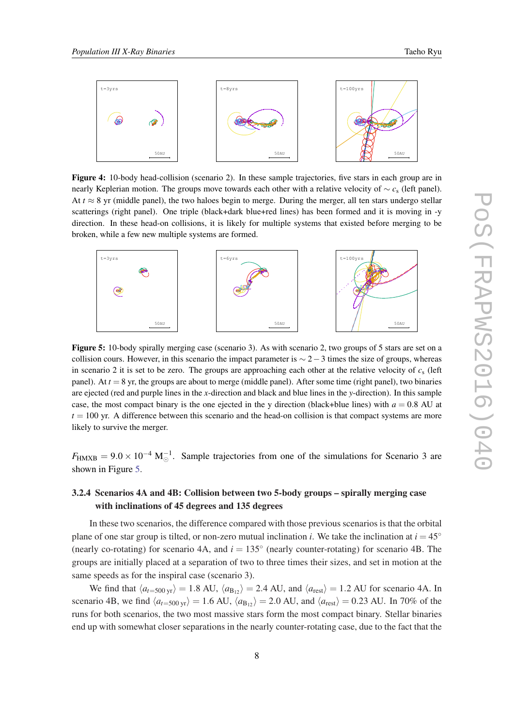<span id="page-8-0"></span>

Figure 4: 10-body head-collision (scenario 2). In these sample trajectories, five stars in each group are in nearly Keplerian motion. The groups move towards each other with a relative velocity of ∼ *c*<sup>s</sup> (left panel). At  $t \approx 8$  yr (middle panel), the two haloes begin to merge. During the merger, all ten stars undergo stellar scatterings (right panel). One triple (black+dark blue+red lines) has been formed and it is moving in -y direction. In these head-on collisions, it is likely for multiple systems that existed before merging to be broken, while a few new multiple systems are formed.



Figure 5: 10-body spirally merging case (scenario 3). As with scenario 2, two groups of 5 stars are set on a collision cours. However, in this scenario the impact parameter is  $\sim$  2 – 3 times the size of groups, whereas in scenario 2 it is set to be zero. The groups are approaching each other at the relative velocity of  $c_s$  (left panel). At  $t = 8$  yr, the groups are about to merge (middle panel). After some time (right panel), two binaries are ejected (red and purple lines in the *x*-direction and black and blue lines in the *y*-direction). In this sample case, the most compact binary is the one ejected in the y direction (black+blue lines) with  $a = 0.8$  AU at  $t = 100$  yr. A difference between this scenario and the head-on collision is that compact systems are more likely to survive the merger.

 $F_{\text{HMXB}} = 9.0 \times 10^{-4} \text{ M}_{\odot}^{-1}$ . Sample trajectories from one of the simulations for Scenario 3 are shown in Figure 5.

# 3.2.4 Scenarios 4A and 4B: Collision between two 5-body groups – spirally merging case with inclinations of 45 degrees and 135 degrees

In these two scenarios, the difference compared with those previous scenarios is that the orbital plane of one star group is tilted, or non-zero mutual inclination *i*. We take the inclination at  $i = 45°$ (nearly co-rotating) for scenario 4A, and  $i = 135^\circ$  (nearly counter-rotating) for scenario 4B. The groups are initially placed at a separation of two to three times their sizes, and set in motion at the same speeds as for the inspiral case (scenario 3).

We find that  $\langle a_{t=500 \text{ yr}} \rangle = 1.8 \text{ AU}, \langle a_{B_{12}} \rangle = 2.4 \text{ AU}, \text{ and } \langle a_{\text{rest}} \rangle = 1.2 \text{ AU}$  for scenario 4A. In scenario 4B, we find  $\langle a_{t=500 \text{ yr}} \rangle = 1.6 \text{ AU}, \langle a_{B_{12}} \rangle = 2.0 \text{ AU}, \text{ and } \langle a_{\text{rest}} \rangle = 0.23 \text{ AU}.$  In 70% of the runs for both scenarios, the two most massive stars form the most compact binary. Stellar binaries end up with somewhat closer separations in the nearly counter-rotating case, due to the fact that the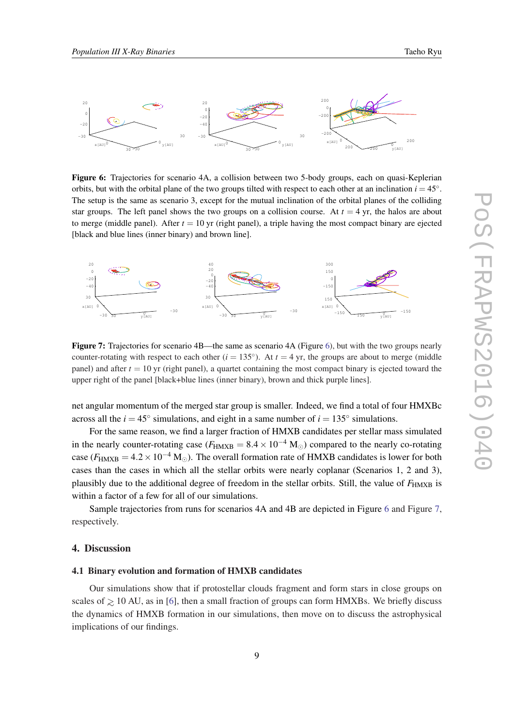<span id="page-9-0"></span>

Figure 6: Trajectories for scenario 4A, a collision between two 5-body groups, each on quasi-Keplerian orbits, but with the orbital plane of the two groups tilted with respect to each other at an inclination  $i = 45°$ . The setup is the same as scenario 3, except for the mutual inclination of the orbital planes of the colliding star groups. The left panel shows the two groups on a collision course. At  $t = 4$  yr, the halos are about to merge (middle panel). After  $t = 10$  yr (right panel), a triple having the most compact binary are ejected [black and blue lines (inner binary) and brown line].



Figure 7: Trajectories for scenario 4B—the same as scenario 4A (Figure 6), but with the two groups nearly counter-rotating with respect to each other  $(i = 135^{\circ})$ . At  $t = 4$  yr, the groups are about to merge (middle panel) and after  $t = 10$  yr (right panel), a quartet containing the most compact binary is ejected toward the upper right of the panel [black+blue lines (inner binary), brown and thick purple lines].

net angular momentum of the merged star group is smaller. Indeed, we find a total of four HMXBc across all the  $i = 45^\circ$  simulations, and eight in a same number of  $i = 135^\circ$  simulations.

For the same reason, we find a larger fraction of HMXB candidates per stellar mass simulated in the nearly counter-rotating case ( $F_{HMXB} = 8.4 \times 10^{-4}$  M<sub>☉</sub>) compared to the nearly co-rotating case ( $F_{\text{HMXB}} = 4.2 \times 10^{-4} \text{ M}_{\odot}$ ). The overall formation rate of HMXB candidates is lower for both cases than the cases in which all the stellar orbits were nearly coplanar (Scenarios 1, 2 and 3), plausibly due to the additional degree of freedom in the stellar orbits. Still, the value of *F*<sub>HMXB</sub> is within a factor of a few for all of our simulations.

Sample trajectories from runs for scenarios 4A and 4B are depicted in Figure 6 and Figure 7, respectively.

# 4. Discussion

## 4.1 Binary evolution and formation of HMXB candidates

Our simulations show that if protostellar clouds fragment and form stars in close groups on scales of  $\geq 10$  AU, as in [[6](#page-0-0)], then a small fraction of groups can form HMXBs. We briefly discuss the dynamics of HMXB formation in our simulations, then move on to discuss the astrophysical implications of our findings.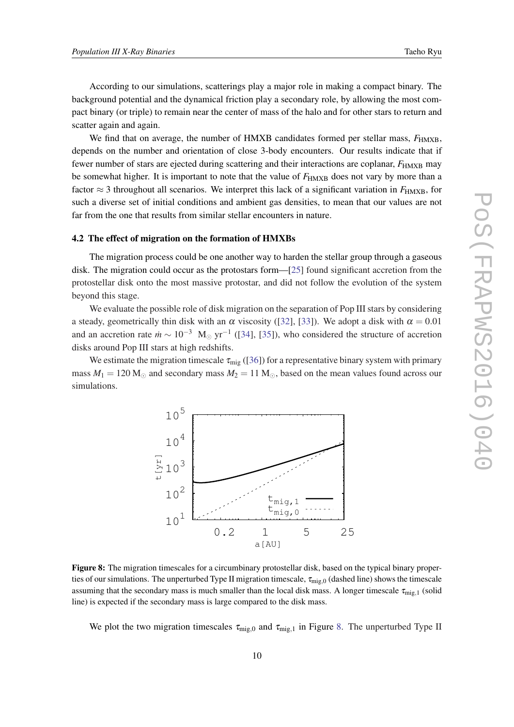According to our simulations, scatterings play a major role in making a compact binary. The background potential and the dynamical friction play a secondary role, by allowing the most compact binary (or triple) to remain near the center of mass of the halo and for other stars to return and scatter again and again.

We find that on average, the number of HMXB candidates formed per stellar mass,  $F_{\text{HMXB}}$ , depends on the number and orientation of close 3-body encounters. Our results indicate that if fewer number of stars are ejected during scattering and their interactions are coplanar,  $F_{\text{HMXB}}$  may be somewhat higher. It is important to note that the value of  $F_{HMXB}$  does not vary by more than a factor  $\approx$  3 throughout all scenarios. We interpret this lack of a significant variation in  $F_{\text{HMXB}}$ , for such a diverse set of initial conditions and ambient gas densities, to mean that our values are not far from the one that results from similar stellar encounters in nature.

#### 4.2 The effect of migration on the formation of HMXBs

The migration process could be one another way to harden the stellar group through a gaseous disk. The migration could occur as the protostars form—[\[25](#page-0-0)] found significant accretion from the protostellar disk onto the most massive protostar, and did not follow the evolution of the system beyond this stage.

We evaluate the possible role of disk migration on the separation of Pop III stars by considering a steady, geometrically thin disk with an  $\alpha$  viscosity ([[32\]](#page-0-0), [\[33\]](#page-0-0)). We adopt a disk with  $\alpha = 0.01$ and an accretion rate  $\dot{m} \sim 10^{-3}$  M<sub>☉</sub> yr<sup>-1</sup> ([\[34\]](#page-0-0), [[35](#page-0-0)]), who considered the structure of accretion disks around Pop III stars at high redshifts.

We estimate the migration timescale  $\tau_{\text{mig}}$  ([[36\]](#page-0-0)) for a representative binary system with primary mass  $M_1 = 120$  M<sub> $\odot$ </sub> and secondary mass  $M_2 = 11$  M $\odot$ , based on the mean values found across our simulations.



Figure 8: The migration timescales for a circumbinary protostellar disk, based on the typical binary properties of our simulations. The unperturbed Type II migration timescale,  $\tau_{\rm mig,0}$  (dashed line) shows the timescale assuming that the secondary mass is much smaller than the local disk mass. A longer timescale  $\tau_{\text{mig},1}$  (solid line) is expected if the secondary mass is large compared to the disk mass.

We plot the two migration timescales  $\tau_{\text{mig},0}$  and  $\tau_{\text{mig},1}$  in Figure 8. The unperturbed Type II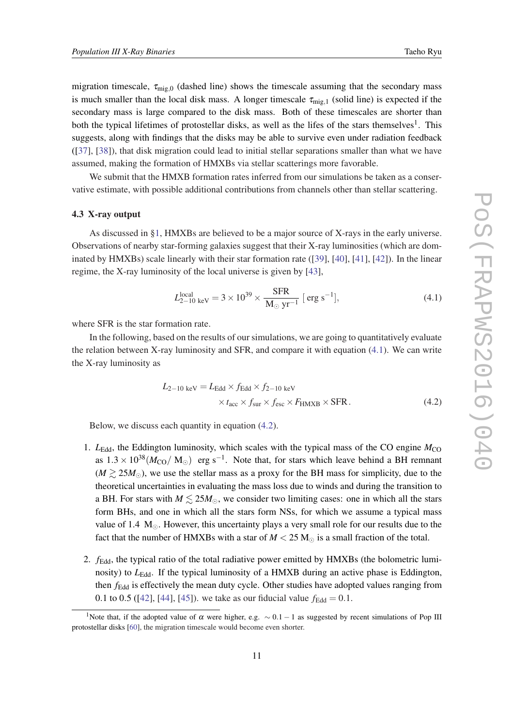migration timescale,  $\tau_{\text{mie},0}$  (dashed line) shows the timescale assuming that the secondary mass is much smaller than the local disk mass. A longer timescale  $\tau_{\text{mig},1}$  (solid line) is expected if the secondary mass is large compared to the disk mass. Both of these timescales are shorter than both the typical lifetimes of protostellar disks, as well as the lifes of the stars themselves<sup>1</sup>. This suggests, along with findings that the disks may be able to survive even under radiation feedback ([[37\]](#page-0-0), [[38\]](#page-0-0)), that disk migration could lead to initial stellar separations smaller than what we have assumed, making the formation of HMXBs via stellar scatterings more favorable.

We submit that the HMXB formation rates inferred from our simulations be taken as a conservative estimate, with possible additional contributions from channels other than stellar scattering.

### 4.3 X-ray output

As discussed in §[1](#page-1-0), HMXBs are believed to be a major source of X-rays in the early universe. Observations of nearby star-forming galaxies suggest that their X-ray luminosities (which are dominated by HMXBs) scale linearly with their star formation rate ([[39](#page-0-0)], [\[40](#page-0-0)], [[41\]](#page-0-0), [\[42](#page-0-0)]). In the linear regime, the X-ray luminosity of the local universe is given by [\[43](#page-0-0)],

$$
L_{2-10 \text{ keV}}^{\text{local}} = 3 \times 10^{39} \times \frac{\text{SFR}}{\text{M}_{\odot} \text{ yr}^{-1}} \text{ [ erg s}^{-1}\text{]},\tag{4.1}
$$

where SFR is the star formation rate.

In the following, based on the results of our simulations, we are going to quantitatively evaluate the relation between X-ray luminosity and SFR, and compare it with equation (4.1). We can write the X-ray luminosity as

$$
L_{2-10 \text{ keV}} = L_{\text{Edd}} \times f_{\text{Edd}} \times f_{2-10 \text{ keV}} \times t_{\text{acc}} \times f_{\text{sur}} \times f_{\text{esc}} \times F_{\text{HMXB}} \times \text{SFR}.
$$
 (4.2)

Below, we discuss each quantity in equation (4.2).

- 1.  $L_{\text{Edd}}$ , the Eddington luminosity, which scales with the typical mass of the CO engine  $M_{\text{CO}}$ as  $1.3 \times 10^{38} (M_{\rm CO} / M_{\odot})$  erg s<sup>-1</sup>. Note that, for stars which leave behind a BH remnant  $(M \gtrsim 25M_{\odot})$ , we use the stellar mass as a proxy for the BH mass for simplicity, due to the theoretical uncertainties in evaluating the mass loss due to winds and during the transition to a BH. For stars with  $M \le 25M_{\odot}$ , we consider two limiting cases: one in which all the stars form BHs, and one in which all the stars form NSs, for which we assume a typical mass value of 1.4  $M_{\odot}$ . However, this uncertainty plays a very small role for our results due to the fact that the number of HMXBs with a star of  $M < 25$  M<sub> $\odot$ </sub> is a small fraction of the total.
- 2. *f*Edd, the typical ratio of the total radiative power emitted by HMXBs (the bolometric luminosity) to *L*<sub>Edd</sub>. If the typical luminosity of a HMXB during an active phase is Eddington, then *f*<sub>Edd</sub> is effectively the mean duty cycle. Other studies have adopted values ranging from 0.1 to 0.5 ([\[42](#page-0-0)], [[44\]](#page-0-0), [[45](#page-0-0)]). we take as our fiducial value  $f_{\text{Edd}} = 0.1$ .

<sup>&</sup>lt;sup>1</sup>Note that, if the adopted value of  $\alpha$  were higher, e.g.  $\sim 0.1 - 1$  as suggested by recent simulations of Pop III protostellar disks [\[60](#page-0-0)], the migration timescale would become even shorter.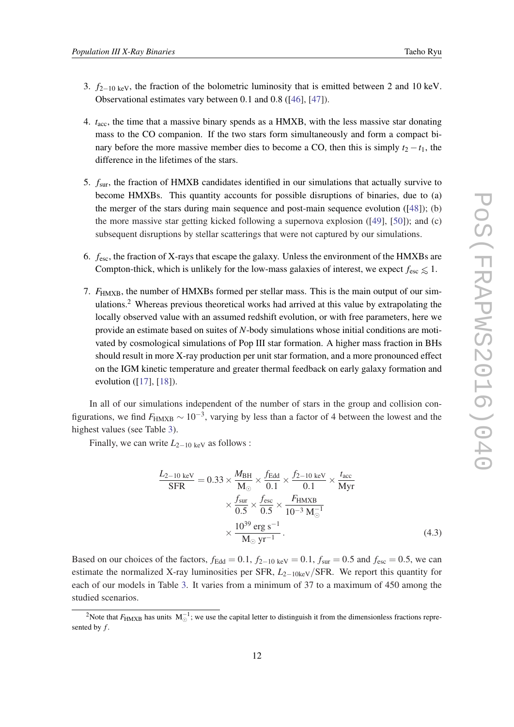- 3. *f*2−10 keV, the fraction of the bolometric luminosity that is emitted between 2 and 10 keV. Observational estimates vary between 0.1 and 0.8 ([\[46](#page-0-0)], [\[47\]](#page-0-0)).
- 4. *t*acc, the time that a massive binary spends as a HMXB, with the less massive star donating mass to the CO companion. If the two stars form simultaneously and form a compact binary before the more massive member dies to become a CO, then this is simply  $t_2 - t_1$ , the difference in the lifetimes of the stars.
- 5. *f*sur, the fraction of HMXB candidates identified in our simulations that actually survive to become HMXBs. This quantity accounts for possible disruptions of binaries, due to (a) the merger of the stars during main sequence and post-main sequence evolution  $(148)$ ; (b) the more massive star getting kicked following a supernova explosion ([\[49](#page-0-0)], [[50\]](#page-0-0)); and (c) subsequent disruptions by stellar scatterings that were not captured by our simulations.
- 6. *f*esc, the fraction of X-rays that escape the galaxy. Unless the environment of the HMXBs are Compton-thick, which is unlikely for the low-mass galaxies of interest, we expect  $f_{\text{esc}} \leq 1$ .
- 7. *F*<sub>HMXB</sub>, the number of HMXBs formed per stellar mass. This is the main output of our simulations.<sup>2</sup> Whereas previous theoretical works had arrived at this value by extrapolating the locally observed value with an assumed redshift evolution, or with free parameters, here we provide an estimate based on suites of *N*-body simulations whose initial conditions are motivated by cosmological simulations of Pop III star formation. A higher mass fraction in BHs should result in more X-ray production per unit star formation, and a more pronounced effect on the IGM kinetic temperature and greater thermal feedback on early galaxy formation and evolution ([\[17](#page-0-0)], [[18\]](#page-0-0)).

In all of our simulations independent of the number of stars in the group and collision configurations, we find  $F_{\text{HMXB}} \sim 10^{-3}$ , varying by less than a factor of 4 between the lowest and the highest values (see Table [3](#page-13-0)).

Finally, we can write  $L_{2-10 \text{ keV}}$  as follows :

$$
\frac{L_{2-10 \text{ keV}}}{\text{SFR}} = 0.33 \times \frac{M_{\text{BH}}}{\text{M}_{\odot}} \times \frac{f_{\text{Edd}}}{0.1} \times \frac{f_{2-10 \text{ keV}}}{0.1} \times \frac{t_{\text{acc}}}{\text{Myr}}
$$

$$
\times \frac{f_{\text{sur}}}{0.5} \times \frac{f_{\text{esc}}}{0.5} \times \frac{F_{\text{HMXB}}}{10^{-3} \text{ M}_{\odot}^{-1}}
$$

$$
\times \frac{10^{39} \text{ erg s}^{-1}}{\text{M}_{\odot} \text{ yr}^{-1}}.
$$
(4.3)

Based on our choices of the factors,  $f_{\text{Edd}} = 0.1$ ,  $f_{2-10 \text{ keV}} = 0.1$ ,  $f_{\text{sur}} = 0.5$  and  $f_{\text{esc}} = 0.5$ , we can estimate the normalized X-ray luminosities per SFR, *L*2−10keV/SFR. We report this quantity for each of our models in Table [3.](#page-13-0) It varies from a minimum of 37 to a maximum of 450 among the studied scenarios.

<sup>&</sup>lt;sup>2</sup>Note that  $F_{\text{HMXB}}$  has units  $M_{\odot}^{-1}$ ; we use the capital letter to distinguish it from the dimensionless fractions represented by *f* .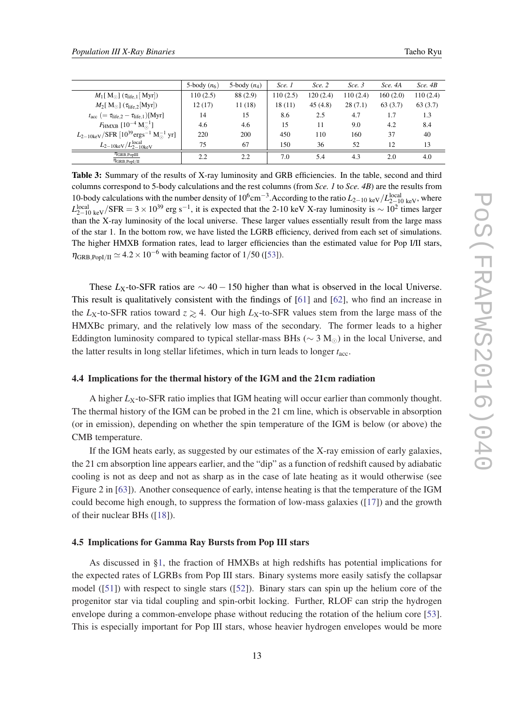<span id="page-13-0"></span>

|                                                                                                      | 5-body $(n_6)$ | 5-body $(n_4)$ | Sce. 1   | Sce. 2   | Sce. 3   | Sce. 4A  | Sce. 4B  |
|------------------------------------------------------------------------------------------------------|----------------|----------------|----------|----------|----------|----------|----------|
| $M_1[M_{\odot}]$ ( $\tau_{\text{life},1}[\text{Myr}])$                                               | 110(2.5)       | 88 (2.9)       | 110(2.5) | 120(2.4) | 110(2.4) | 160(2.0) | 110(2.4) |
| $M_2[{\rm\,M_\odot}](\tau_{\rm life,2}[{\rm Myr}])$                                                  | 12(17)         | 11 (18)        | 18(11)   | 45(4.8)  | 28(7.1)  | 63(3.7)  | 63(3.7)  |
| $t_{\text{acc}}$ (= $\tau_{\text{life},2} - \tau_{\text{life},1}$ )[Myr]                             | 14             | 15             | 8.6      | 2.5      | 4.7      | 1.7      | 1.3      |
| $F_{\rm HMXB}~[10^{-4}~\rm M_{\odot}^{-1}]$                                                          | 4.6            | 4.6            | 15       | 11       | 9.0      | 4.2      | 8.4      |
| $L_{2-10\text{keV}}/\text{SFR}$ [10 <sup>39</sup> ergs <sup>-1</sup> M <sub>o</sub> <sup>1</sup> yr] | 220            | 200            | 450      | 110      | 160      | 37       | 40       |
| $L_{2-10keV}/L_{2-10keV}^{local}$                                                                    | 75             | 67             | 150      | 36       | 52       | 12       | 13       |
| $\overline{\eta_{\rm GRB, PopIII}}$<br>$\eta_{\rm GRB, Pop I/II}$                                    | 2.2            | 2.2            | 7.0      | 5.4      | 4.3      | 2.0      | 4.0      |

Table 3: Summary of the results of X-ray luminosity and GRB efficiencies. In the table, second and third columns correspond to 5-body calculations and the rest columns (from *Sce. 1* to *Sce. 4B*) are the results from 10-body calculations with the number density of  $10^6$ cm<sup>-3</sup>. According to the ratio  $L_{2-10 \text{ keV}}/L_{2-10 \text{ keV}}^{\text{local}}$ , where  $L_{2-10 \text{ keV}}^{\text{local}}$ /SFR = 3 × 10<sup>39</sup> erg s<sup>-1</sup>, it is expected that the 2-10 keV X-ray luminosity is ~ 10<sup>2</sup> times larger than the X-ray luminosity of the local universe. These larger values essentially result from the large mass of the star 1. In the bottom row, we have listed the LGRB efficiency, derived from each set of simulations. The higher HMXB formation rates, lead to larger efficiencies than the estimated value for Pop I/II stars,  $\eta_{\text{GRB.Popl/II}} \simeq 4.2 \times 10^{-6}$  with beaming factor of 1/50 ([[53\]](#page-0-0)).

These  $L_X$ -to-SFR ratios are  $\sim$  40 − 150 higher than what is observed in the local Universe. This result is qualitatively consistent with the findings of [\[61\]](#page-0-0) and [\[62](#page-0-0)], who find an increase in the *L*<sub>X</sub>-to-SFR ratios toward  $z \ge 4$ . Our high *L*<sub>X</sub>-to-SFR values stem from the large mass of the HMXBc primary, and the relatively low mass of the secondary. The former leads to a higher Eddington luminosity compared to typical stellar-mass BHs ( $\sim$  3 M) in the local Universe, and the latter results in long stellar lifetimes, which in turn leads to longer *t*acc.

#### 4.4 Implications for the thermal history of the IGM and the 21cm radiation

A higher *L*<sub>X</sub>-to-SFR ratio implies that IGM heating will occur earlier than commonly thought. The thermal history of the IGM can be probed in the 21 cm line, which is observable in absorption (or in emission), depending on whether the spin temperature of the IGM is below (or above) the CMB temperature.

If the IGM heats early, as suggested by our estimates of the X-ray emission of early galaxies, the 21 cm absorption line appears earlier, and the "dip" as a function of redshift caused by adiabatic cooling is not as deep and not as sharp as in the case of late heating as it would otherwise (see Figure 2 in [\[63\]](#page-0-0)). Another consequence of early, intense heating is that the temperature of the IGM could become high enough, to suppress the formation of low-mass galaxies ([\[17\]](#page-0-0)) and the growth of their nuclear BHs ([\[18](#page-0-0)]).

## 4.5 Implications for Gamma Ray Bursts from Pop III stars

As discussed in [§1,](#page-1-0) the fraction of HMXBs at high redshifts has potential implications for the expected rates of LGRBs from Pop III stars. Binary systems more easily satisfy the collapsar model ([[51](#page-0-0)]) with respect to single stars ([[52](#page-0-0)]). Binary stars can spin up the helium core of the progenitor star via tidal coupling and spin-orbit locking. Further, RLOF can strip the hydrogen envelope during a common-envelope phase without reducing the rotation of the helium core [[53\]](#page-0-0). This is especially important for Pop III stars, whose heavier hydrogen envelopes would be more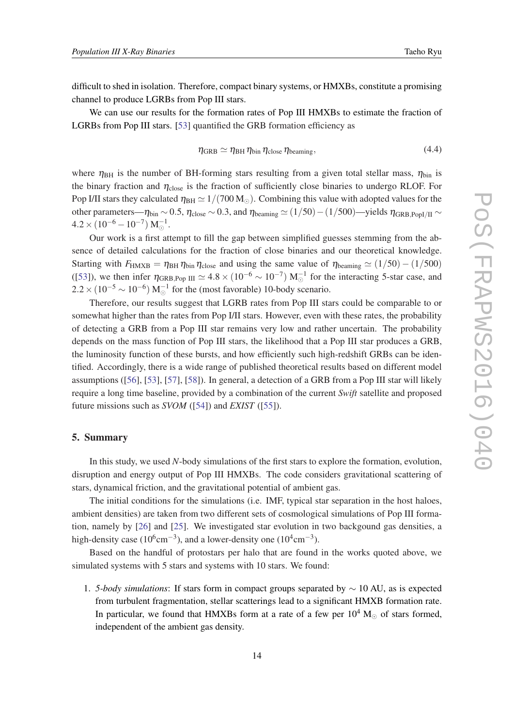<span id="page-14-0"></span>difficult to shed in isolation. Therefore, compact binary systems, or HMXBs, constitute a promising channel to produce LGRBs from Pop III stars.

We can use our results for the formation rates of Pop III HMXBs to estimate the fraction of LGRBs from Pop III stars. [\[53](#page-0-0)] quantified the GRB formation efficiency as

$$
\eta_{\text{GRB}} \simeq \eta_{\text{BH}} \eta_{\text{bin}} \eta_{\text{close}} \eta_{\text{beaming}},\tag{4.4}
$$

where  $\eta_{BH}$  is the number of BH-forming stars resulting from a given total stellar mass,  $\eta_{bin}$  is the binary fraction and  $\eta_{\text{close}}$  is the fraction of sufficiently close binaries to undergo RLOF. For Pop I/II stars they calculated  $\eta_{BH} \simeq 1/(700 M_{\odot})$ . Combining this value with adopted values for the other parameters— $\eta_{\text{bin}} \sim 0.5$ ,  $\eta_{\text{close}} \sim 0.3$ , and  $\eta_{\text{beaming}} \simeq (1/50) - (1/500)$ —yields  $\eta_{\text{GRB.Pool/II}} \sim$  $4.2 \times (10^{-6} - 10^{-7}) \text{ M}_{\odot}^{-1}.$ 

Our work is a first attempt to fill the gap between simplified guesses stemming from the absence of detailed calculations for the fraction of close binaries and our theoretical knowledge. Starting with  $F_{\text{HMXB}} = \eta_{\text{BH}} \eta_{\text{bin}} \eta_{\text{close}}$  and using the same value of  $\eta_{\text{beaming}} \simeq (1/50) - (1/500)$ ([[53\]](#page-0-0)), we then infer  $\eta_{\rm GRB, Pop~III} \simeq 4.8 \times (10^{-6} \sim 10^{-7}) \text{ M}_{\odot}^{-1}$  for the interacting 5-star case, and  $2.2 \times (10^{-5} \sim 10^{-6}) \text{ M}_{\odot}^{-1}$  for the (most favorable) 10-body scenario.

Therefore, our results suggest that LGRB rates from Pop III stars could be comparable to or somewhat higher than the rates from Pop I/II stars. However, even with these rates, the probability of detecting a GRB from a Pop III star remains very low and rather uncertain. The probability depends on the mass function of Pop III stars, the likelihood that a Pop III star produces a GRB, the luminosity function of these bursts, and how efficiently such high-redshift GRBs can be identified. Accordingly, there is a wide range of published theoretical results based on different model assumptions ([\[56](#page-0-0)], [[53\]](#page-0-0), [\[57](#page-0-0)], [[58\]](#page-0-0)). In general, a detection of a GRB from a Pop III star will likely require a long time baseline, provided by a combination of the current *Swift* satellite and proposed future missions such as *SVOM* ([[54\]](#page-0-0)) and *EXIST* ([\[55](#page-0-0)]).

# 5. Summary

In this study, we used *N*-body simulations of the first stars to explore the formation, evolution, disruption and energy output of Pop III HMXBs. The code considers gravitational scattering of stars, dynamical friction, and the gravitational potential of ambient gas.

The initial conditions for the simulations (i.e. IMF, typical star separation in the host haloes, ambient densities) are taken from two different sets of cosmological simulations of Pop III formation, namely by [\[26](#page-0-0)] and [\[25](#page-0-0)]. We investigated star evolution in two backgound gas densities, a high-density case (10<sup>6</sup>cm<sup>-3</sup>), and a lower-density one (10<sup>4</sup>cm<sup>-3</sup>).

Based on the handful of protostars per halo that are found in the works quoted above, we simulated systems with 5 stars and systems with 10 stars. We found:

1. *5-body simulations*: If stars form in compact groups separated by ∼ 10 AU, as is expected from turbulent fragmentation, stellar scatterings lead to a significant HMXB formation rate. In particular, we found that HMXBs form at a rate of a few per  $10^4$  M<sub>o</sub> of stars formed, independent of the ambient gas density.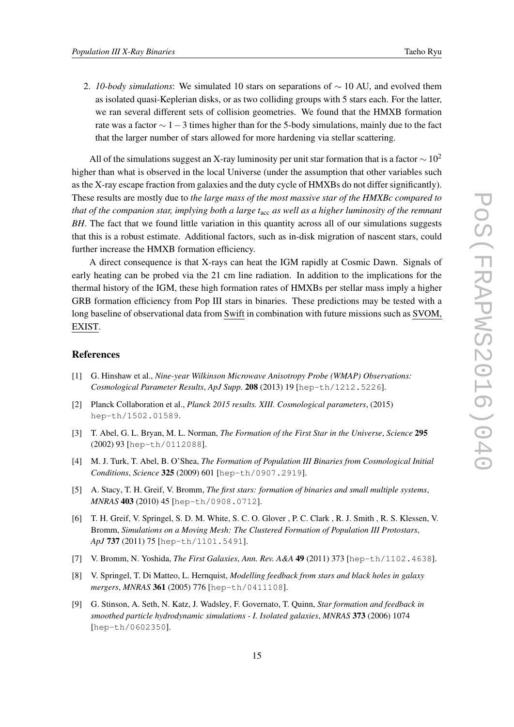2. *10-body simulations*: We simulated 10 stars on separations of ∼ 10 AU, and evolved them as isolated quasi-Keplerian disks, or as two colliding groups with 5 stars each. For the latter, we ran several different sets of collision geometries. We found that the HMXB formation rate was a factor  $\sim$  1 – 3 times higher than for the 5-body simulations, mainly due to the fact that the larger number of stars allowed for more hardening via stellar scattering.

All of the simulations suggest an X-ray luminosity per unit star formation that is a factor  $\sim 10^2$ higher than what is observed in the local Universe (under the assumption that other variables such as the X-ray escape fraction from galaxies and the duty cycle of HMXBs do not differ significantly). These results are mostly due to *the large mass of the most massive star of the HMXBc compared to that of the companion star, implying both a large t*acc *as well as a higher luminosity of the remnant BH*. The fact that we found little variation in this quantity across all of our simulations suggests that this is a robust estimate. Additional factors, such as in-disk migration of nascent stars, could further increase the HMXB formation efficiency.

A direct consequence is that X-rays can heat the IGM rapidly at Cosmic Dawn. Signals of early heating can be probed via the 21 cm line radiation. In addition to the implications for the thermal history of the IGM, these high formation rates of HMXBs per stellar mass imply a higher GRB formation efficiency from Pop III stars in binaries. These predictions may be tested with a long baseline of observational data from Swift in combination with future missions such as SVOM, EXIST.

# References

- [1] G. Hinshaw et al., *Nine-year Wilkinson Microwave Anisotropy Probe (WMAP) Observations: Cosmological Parameter Results*, *ApJ Supp.* 208 (2013) 19 [hep-th/1212.5226].
- [2] Planck Collaboration et al., *Planck 2015 results. XIII. Cosmological parameters*, (2015) hep-th/1502.01589.
- [3] T. Abel, G. L. Bryan, M. L. Norman, *The Formation of the First Star in the Universe*, *Science* 295 (2002) 93 [hep-th/0112088].
- [4] M. J. Turk, T. Abel, B. O'Shea, *The Formation of Population III Binaries from Cosmological Initial Conditions*, *Science* 325 (2009) 601 [hep-th/0907.2919].
- [5] A. Stacy, T. H. Greif, V. Bromm, *The first stars: formation of binaries and small multiple systems*, *MNRAS* 403 (2010) 45 [hep-th/0908.0712].
- [6] T. H. Greif, V. Springel, S. D. M. White, S. C. O. Glover , P. C. Clark , R. J. Smith , R. S. Klessen, V. Bromm, *Simulations on a Moving Mesh: The Clustered Formation of Population III Protostars*, *ApJ* 737 (2011) 75 [hep-th/1101.5491].
- [7] V. Bromm, N. Yoshida, *The First Galaxies*, *Ann. Rev. A&A* 49 (2011) 373 [hep-th/1102.4638].
- [8] V. Springel, T. Di Matteo, L. Hernquist, *Modelling feedback from stars and black holes in galaxy mergers*, *MNRAS* 361 (2005) 776 [hep-th/0411108].
- [9] G. Stinson, A. Seth, N. Katz, J. Wadsley, F. Governato, T. Quinn, *Star formation and feedback in smoothed particle hydrodynamic simulations - I. Isolated galaxies*, *MNRAS* 373 (2006) 1074 [hep-th/0602350].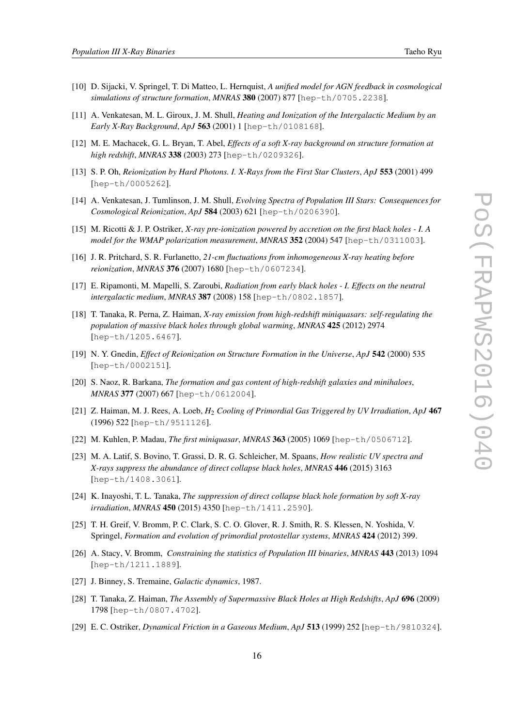- [10] D. Sijacki, V. Springel, T. Di Matteo, L. Hernquist, *A unified model for AGN feedback in cosmological simulations of structure formation*, *MNRAS* 380 (2007) 877 [hep-th/0705.2238].
- [11] A. Venkatesan, M. L. Giroux, J. M. Shull, *Heating and Ionization of the Intergalactic Medium by an Early X-Ray Background*, *ApJ* 563 (2001) 1 [hep-th/0108168].
- [12] M. E. Machacek, G. L. Bryan, T. Abel, *Effects of a soft X-ray background on structure formation at high redshift*, *MNRAS* 338 (2003) 273 [hep-th/0209326].
- [13] S. P. Oh, *Reionization by Hard Photons. I. X-Rays from the First Star Clusters*, *ApJ* 553 (2001) 499 [hep-th/0005262].
- [14] A. Venkatesan, J. Tumlinson, J. M. Shull, *Evolving Spectra of Population III Stars: Consequences for Cosmological Reionization*, *ApJ* 584 (2003) 621 [hep-th/0206390].
- [15] M. Ricotti & J. P. Ostriker, *X-ray pre-ionization powered by accretion on the first black holes I. A model for the WMAP polarization measurement*, *MNRAS* 352 (2004) 547 [hep-th/0311003].
- [16] J. R. Pritchard, S. R. Furlanetto, *21-cm fluctuations from inhomogeneous X-ray heating before reionization*, *MNRAS* 376 (2007) 1680 [hep-th/0607234].
- [17] E. Ripamonti, M. Mapelli, S. Zaroubi, *Radiation from early black holes I. Effects on the neutral intergalactic medium*, *MNRAS* 387 (2008) 158 [hep-th/0802.1857].
- [18] T. Tanaka, R. Perna, Z. Haiman, *X-ray emission from high-redshift miniquasars: self-regulating the population of massive black holes through global warming*, *MNRAS* 425 (2012) 2974 [hep-th/1205.6467].
- [19] N. Y. Gnedin, *Effect of Reionization on Structure Formation in the Universe*, *ApJ* 542 (2000) 535 [hep-th/0002151].
- [20] S. Naoz, R. Barkana, *The formation and gas content of high-redshift galaxies and minihaloes*, *MNRAS* 377 (2007) 667 [hep-th/0612004].
- [21] Z. Haiman, M. J. Rees, A. Loeb, *H*<sup>2</sup> *Cooling of Primordial Gas Triggered by UV Irradiation*, *ApJ* 467 (1996) 522 [hep-th/9511126].
- [22] M. Kuhlen, P. Madau, *The first miniquasar*, *MNRAS* 363 (2005) 1069 [hep-th/0506712].
- [23] M. A. Latif, S. Bovino, T. Grassi, D. R. G. Schleicher, M. Spaans, *How realistic UV spectra and X-rays suppress the abundance of direct collapse black holes*, *MNRAS* 446 (2015) 3163 [hep-th/1408.3061].
- [24] K. Inayoshi, T. L. Tanaka, *The suppression of direct collapse black hole formation by soft X-ray irradiation*, *MNRAS* 450 (2015) 4350 [hep-th/1411.2590].
- [25] T. H. Greif, V. Bromm, P. C. Clark, S. C. O. Glover, R. J. Smith, R. S. Klessen, N. Yoshida, V. Springel, *Formation and evolution of primordial protostellar systems*, *MNRAS* 424 (2012) 399.
- [26] A. Stacy, V. Bromm, *Constraining the statistics of Population III binaries*, *MNRAS* 443 (2013) 1094 [hep-th/1211.1889].
- [27] J. Binney, S. Tremaine, *Galactic dynamics*, 1987.
- [28] T. Tanaka, Z. Haiman, *The Assembly of Supermassive Black Holes at High Redshifts*, *ApJ* 696 (2009) 1798 [hep-th/0807.4702].
- [29] E. C. Ostriker, *Dynamical Friction in a Gaseous Medium*, *ApJ* 513 (1999) 252 [hep-th/9810324].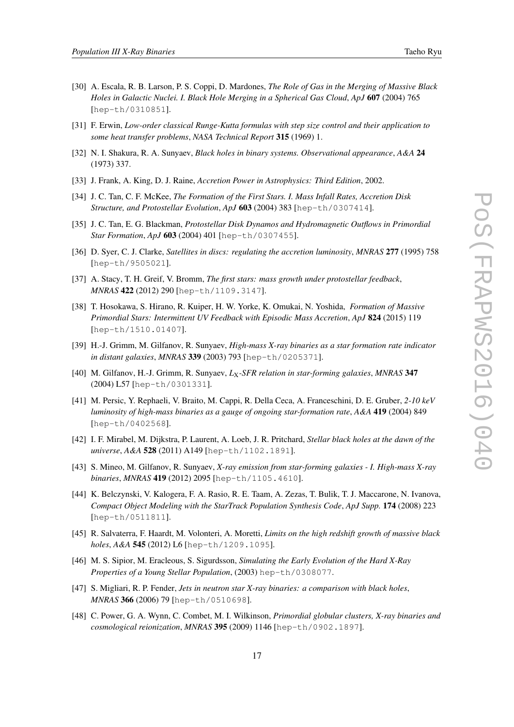- [30] A. Escala, R. B. Larson, P. S. Coppi, D. Mardones, *The Role of Gas in the Merging of Massive Black Holes in Galactic Nuclei. I. Black Hole Merging in a Spherical Gas Cloud*, *ApJ* 607 (2004) 765 [hep-th/0310851].
- [31] F. Erwin, *Low-order classical Runge-Kutta formulas with step size control and their application to some heat transfer problems*, *NASA Technical Report* 315 (1969) 1.
- [32] N. I. Shakura, R. A. Sunyaev, *Black holes in binary systems. Observational appearance*, *A&A* 24 (1973) 337.
- [33] J. Frank, A. King, D. J. Raine, *Accretion Power in Astrophysics: Third Edition*, 2002.
- [34] J. C. Tan, C. F. McKee, *The Formation of the First Stars. I. Mass Infall Rates, Accretion Disk Structure, and Protostellar Evolution*, *ApJ* 603 (2004) 383 [hep-th/0307414].
- [35] J. C. Tan, E. G. Blackman, *Protostellar Disk Dynamos and Hydromagnetic Outflows in Primordial Star Formation*, *ApJ* 603 (2004) 401 [hep-th/0307455].
- [36] D. Syer, C. J. Clarke, *Satellites in discs: regulating the accretion luminosity*, *MNRAS* 277 (1995) 758 [hep-th/9505021].
- [37] A. Stacy, T. H. Greif, V. Bromm, *The first stars: mass growth under protostellar feedback*, *MNRAS* 422 (2012) 290 [hep-th/1109.3147].
- [38] T. Hosokawa, S. Hirano, R. Kuiper, H. W. Yorke, K. Omukai, N. Yoshida, *Formation of Massive Primordial Stars: Intermittent UV Feedback with Episodic Mass Accretion*, *ApJ* 824 (2015) 119 [hep-th/1510.01407].
- [39] H.-J. Grimm, M. Gilfanov, R. Sunyaev, *High-mass X-ray binaries as a star formation rate indicator in distant galaxies*, *MNRAS* 339 (2003) 793 [hep-th/0205371].
- [40] M. Gilfanov, H.-J. Grimm, R. Sunyaev, *L*X*-SFR relation in star-forming galaxies*, *MNRAS* 347 (2004) L57 [hep-th/0301331].
- [41] M. Persic, Y. Rephaeli, V. Braito, M. Cappi, R. Della Ceca, A. Franceschini, D. E. Gruber, *2-10 keV luminosity of high-mass binaries as a gauge of ongoing star-formation rate*, *A&A* 419 (2004) 849 [hep-th/0402568].
- [42] I. F. Mirabel, M. Dijkstra, P. Laurent, A. Loeb, J. R. Pritchard, *Stellar black holes at the dawn of the universe*, *A&A* 528 (2011) A149 [hep-th/1102.1891].
- [43] S. Mineo, M. Gilfanov, R. Sunyaev, *X-ray emission from star-forming galaxies I. High-mass X-ray binaries*, *MNRAS* 419 (2012) 2095 [hep-th/1105.4610].
- [44] K. Belczynski, V. Kalogera, F. A. Rasio, R. E. Taam, A. Zezas, T. Bulik, T. J. Maccarone, N. Ivanova, *Compact Object Modeling with the StarTrack Population Synthesis Code*, *ApJ Supp.* 174 (2008) 223 [hep-th/0511811].
- [45] R. Salvaterra, F. Haardt, M. Volonteri, A. Moretti, *Limits on the high redshift growth of massive black holes*, *A&A* 545 (2012) L6 [hep-th/1209.1095].
- [46] M. S. Sipior, M. Eracleous, S. Sigurdsson, *Simulating the Early Evolution of the Hard X-Ray Properties of a Young Stellar Population*, (2003) hep-th/0308077.
- [47] S. Migliari, R. P. Fender, *Jets in neutron star X-ray binaries: a comparison with black holes*, *MNRAS* 366 (2006) 79 [hep-th/0510698].
- [48] C. Power, G. A. Wynn, C. Combet, M. I. Wilkinson, *Primordial globular clusters, X-ray binaries and cosmological reionization*, *MNRAS* 395 (2009) 1146 [hep-th/0902.1897].